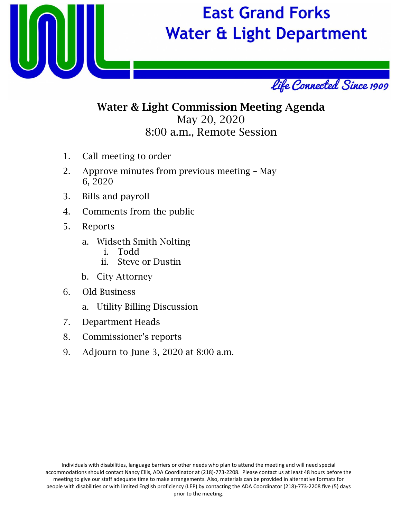

# **East Grand Forks Water & Light Department**



## Water & Light Commission Meeting Agenda May 20, 2020 8:00 a.m., Remote Session

- 1. Call meeting to order
- 2. Approve minutes from previous meeting May 6, 2020
- 3. Bills and payroll
- 4. Comments from the public
- 5. Reports
	- a. Widseth Smith Nolting
		- i. Todd
		- ii. Steve or Dustin
	- b. City Attorney
- 6. Old Business
	- a. Utility Billing Discussion
- 7. Department Heads
- 8. Commissioner's reports
- 9. Adjourn to June 3, 2020 at 8:00 a.m.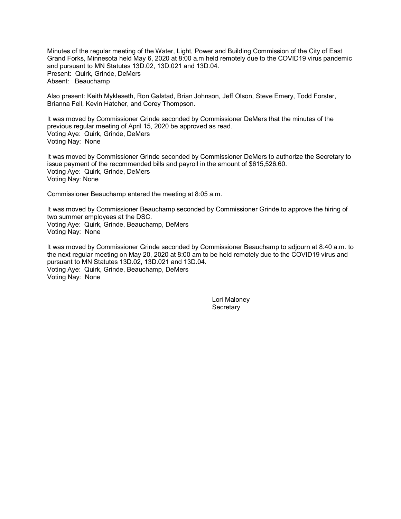Minutes of the regular meeting of the Water, Light, Power and Building Commission of the City of East Grand Forks, Minnesota held May 6, 2020 at 8:00 a.m held remotely due to the COVID19 virus pandemic and pursuant to MN Statutes 13D.02, 13D.021 and 13D.04. Present: Quirk, Grinde, DeMers Absent: Beauchamp

Also present: Keith Mykleseth, Ron Galstad, Brian Johnson, Jeff Olson, Steve Emery, Todd Forster, Brianna Feil, Kevin Hatcher, and Corey Thompson.

It was moved by Commissioner Grinde seconded by Commissioner DeMers that the minutes of the previous regular meeting of April 15, 2020 be approved as read. Voting Aye: Quirk, Grinde, DeMers Voting Nay: None

It was moved by Commissioner Grinde seconded by Commissioner DeMers to authorize the Secretary to issue payment of the recommended bills and payroll in the amount of \$615,526.60. Voting Aye: Quirk, Grinde, DeMers Voting Nay: None

Commissioner Beauchamp entered the meeting at 8:05 a.m.

It was moved by Commissioner Beauchamp seconded by Commissioner Grinde to approve the hiring of two summer employees at the DSC. Voting Aye: Quirk, Grinde, Beauchamp, DeMers Voting Nay: None

It was moved by Commissioner Grinde seconded by Commissioner Beauchamp to adjourn at 8:40 a.m. to the next regular meeting on May 20, 2020 at 8:00 am to be held remotely due to the COVID19 virus and pursuant to MN Statutes 13D.02, 13D.021 and 13D.04. Voting Aye: Quirk, Grinde, Beauchamp, DeMers Voting Nay: None

> Lori Maloney **Secretary**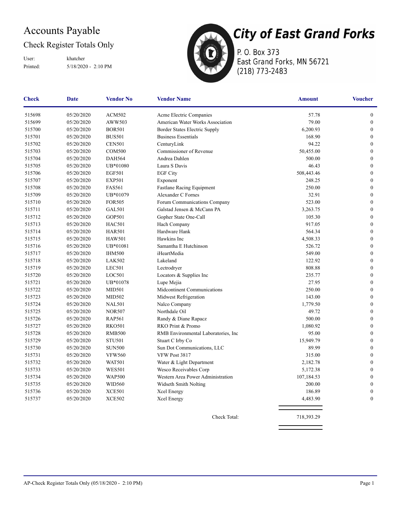## Accounts Payable

#### Check Register Totals Only

Printed: 5/18/2020 - 2:10 PM User: khatcher



**City of East Grand Forks** P. O. Box 373

East Grand Forks, MN 56721 (218) 773-2483

| <b>Check</b> | Date       | <b>Vendor No</b> | <b>Vendor Name</b>                   | <b>Amount</b> | <b>Voucher</b>   |
|--------------|------------|------------------|--------------------------------------|---------------|------------------|
| 515698       | 05/20/2020 | <b>ACM502</b>    | Acme Electric Companies              | 57.78         | $\boldsymbol{0}$ |
| 515699       | 05/20/2020 | AWW503           | American Water Works Association     | 79.00         | $\boldsymbol{0}$ |
| 515700       | 05/20/2020 | <b>BOR501</b>    | Border States Electric Supply        | 6,200.93      | $\boldsymbol{0}$ |
| 515701       | 05/20/2020 | <b>BUS501</b>    | <b>Business Essentials</b>           | 168.90        | $\mathbf{0}$     |
| 515702       | 05/20/2020 | <b>CEN501</b>    | CenturyLink                          | 94.22         | $\boldsymbol{0}$ |
| 515703       | 05/20/2020 | <b>COM500</b>    | Commissioner of Revenue              | 50,455.00     | $\boldsymbol{0}$ |
| 515704       | 05/20/2020 | <b>DAH564</b>    | Andrea Dahlen                        | 500.00        | $\boldsymbol{0}$ |
| 515705       | 05/20/2020 | UB*01080         | Laura S Davis                        | 46.43         | $\mathbf{0}$     |
| 515706       | 05/20/2020 | <b>EGF501</b>    | <b>EGF City</b>                      | 508,443.46    | $\boldsymbol{0}$ |
| 515707       | 05/20/2020 | <b>EXP501</b>    | Exponent                             | 248.25        | $\mathbf{0}$     |
| 515708       | 05/20/2020 | <b>FAS561</b>    | <b>Fastlane Racing Equipment</b>     | 250.00        | $\mathbf{0}$     |
| 515709       | 05/20/2020 | UB*01079         | Alexander C Fornes                   | 32.91         | $\boldsymbol{0}$ |
| 515710       | 05/20/2020 | <b>FOR505</b>    | Forum Communications Company         | 523.00        | $\boldsymbol{0}$ |
| 515711       | 05/20/2020 | <b>GAL501</b>    | Galstad Jensen & McCann PA           | 3,263.75      | $\boldsymbol{0}$ |
| 515712       | 05/20/2020 | <b>GOP501</b>    | Gopher State One-Call                | 105.30        | $\boldsymbol{0}$ |
| 515713       | 05/20/2020 | <b>HAC501</b>    | Hach Company                         | 917.05        | $\boldsymbol{0}$ |
| 515714       | 05/20/2020 | <b>HAR501</b>    | Hardware Hank                        | 564.34        | $\boldsymbol{0}$ |
| 515715       | 05/20/2020 | <b>HAW501</b>    | Hawkins Inc.                         | 4,508.33      | $\mathbf{0}$     |
| 515716       | 05/20/2020 | UB*01081         | Samantha E Hutchinson                | 526.72        | $\boldsymbol{0}$ |
| 515717       | 05/20/2020 | <b>IHM500</b>    | iHeartMedia                          | 549.00        | $\boldsymbol{0}$ |
| 515718       | 05/20/2020 | <b>LAK502</b>    | Lakeland                             | 122.92        | $\boldsymbol{0}$ |
| 515719       | 05/20/2020 | <b>LEC501</b>    | Lectrodryer                          | 808.88        | $\boldsymbol{0}$ |
| 515720       | 05/20/2020 | LOC501           | Locators & Supplies Inc              | 235.77        | $\boldsymbol{0}$ |
| 515721       | 05/20/2020 | UB*01078         | Lupe Mejia                           | 27.95         | $\boldsymbol{0}$ |
| 515722       | 05/20/2020 | <b>MID501</b>    | Midcontinent Communications          | 250.00        | $\boldsymbol{0}$ |
| 515723       | 05/20/2020 | <b>MID502</b>    | Midwest Refrigeration                | 143.00        | $\boldsymbol{0}$ |
| 515724       | 05/20/2020 | <b>NAL501</b>    | Nalco Company                        | 1,779.50      | $\boldsymbol{0}$ |
| 515725       | 05/20/2020 | <b>NOR507</b>    | Northdale Oil                        | 49.72         | $\boldsymbol{0}$ |
| 515726       | 05/20/2020 | <b>RAP561</b>    | Randy & Diane Rapacz                 | 500.00        | $\mathbf{0}$     |
| 515727       | 05/20/2020 | <b>RKO501</b>    | RKO Print & Promo                    | 1,080.92      | $\boldsymbol{0}$ |
| 515728       | 05/20/2020 | <b>RMB500</b>    | RMB Environmental Laboratories, Inc. | 95.00         | $\boldsymbol{0}$ |
| 515729       | 05/20/2020 | <b>STU501</b>    | Stuart C Irby Co                     | 15,949.79     | $\mathbf{0}$     |
| 515730       | 05/20/2020 | <b>SUN500</b>    | Sun Dot Communications, LLC          | 89.99         | $\boldsymbol{0}$ |
| 515731       | 05/20/2020 | <b>VFW560</b>    | VFW Post 3817                        | 315.00        | $\boldsymbol{0}$ |
| 515732       | 05/20/2020 | <b>WAT501</b>    | Water & Light Department             | 2,182.78      | $\boldsymbol{0}$ |
| 515733       | 05/20/2020 | <b>WES501</b>    | Wesco Receivables Corp               | 5,172.38      | $\boldsymbol{0}$ |
| 515734       | 05/20/2020 | <b>WAP500</b>    | Western Area Power Administration    | 107,184.53    | $\boldsymbol{0}$ |
| 515735       | 05/20/2020 | <b>WID560</b>    | Widseth Smith Nolting                | 200.00        | $\boldsymbol{0}$ |
| 515736       | 05/20/2020 | <b>XCE501</b>    | Xcel Energy                          | 186.89        | $\mathbf{0}$     |
| 515737       | 05/20/2020 | <b>XCE502</b>    | Xcel Energy                          | 4,483.90      | $\boldsymbol{0}$ |
|              |            |                  | Check Total:                         | 718,393.29    |                  |
|              |            |                  |                                      |               |                  |